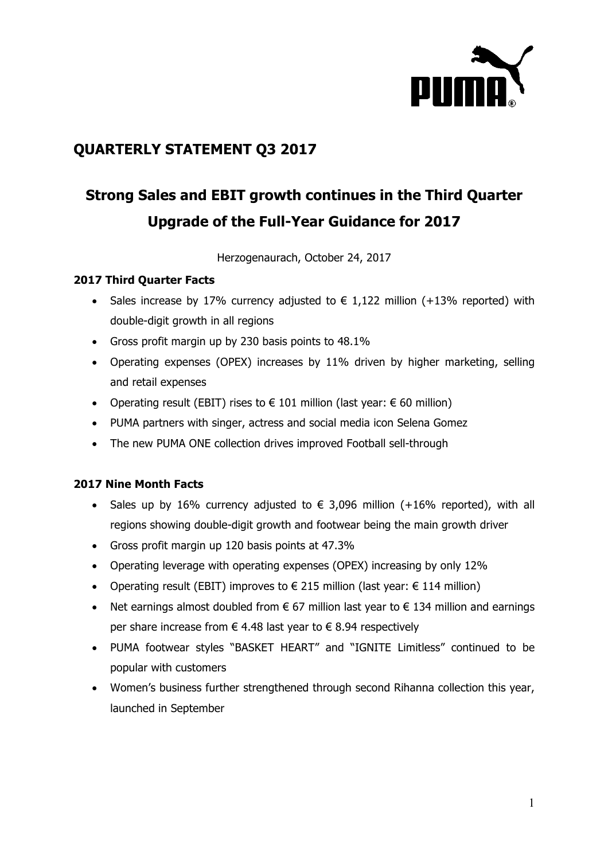

## **QUARTERLY STATEMENT Q3 2017**

# **Strong Sales and EBIT growth continues in the Third Quarter Upgrade of the Full-Year Guidance for 2017**

Herzogenaurach, October 24, 2017

## **2017 Third Quarter Facts**

- Sales increase by 17% currency adjusted to  $\epsilon$  1,122 million (+13% reported) with double-digit growth in all regions
- Gross profit margin up by 230 basis points to 48.1%
- Operating expenses (OPEX) increases by 11% driven by higher marketing, selling and retail expenses
- Operating result (EBIT) rises to  $\epsilon$  101 million (last year:  $\epsilon$  60 million)
- PUMA partners with singer, actress and social media icon Selena Gomez
- The new PUMA ONE collection drives improved Football sell-through

## **2017 Nine Month Facts**

- Sales up by 16% currency adjusted to  $\epsilon$  3,096 million (+16% reported), with all regions showing double-digit growth and footwear being the main growth driver
- Gross profit margin up 120 basis points at 47.3%
- Operating leverage with operating expenses (OPEX) increasing by only 12%
- Operating result (EBIT) improves to  $\epsilon$  215 million (last year:  $\epsilon$  114 million)
- Net earnings almost doubled from  $\epsilon$  67 million last year to  $\epsilon$  134 million and earnings per share increase from  $\epsilon$  4.48 last year to  $\epsilon$  8.94 respectively
- PUMA footwear styles "BASKET HEART" and "IGNITE Limitless" continued to be popular with customers
- Women's business further strengthened through second Rihanna collection this year, launched in September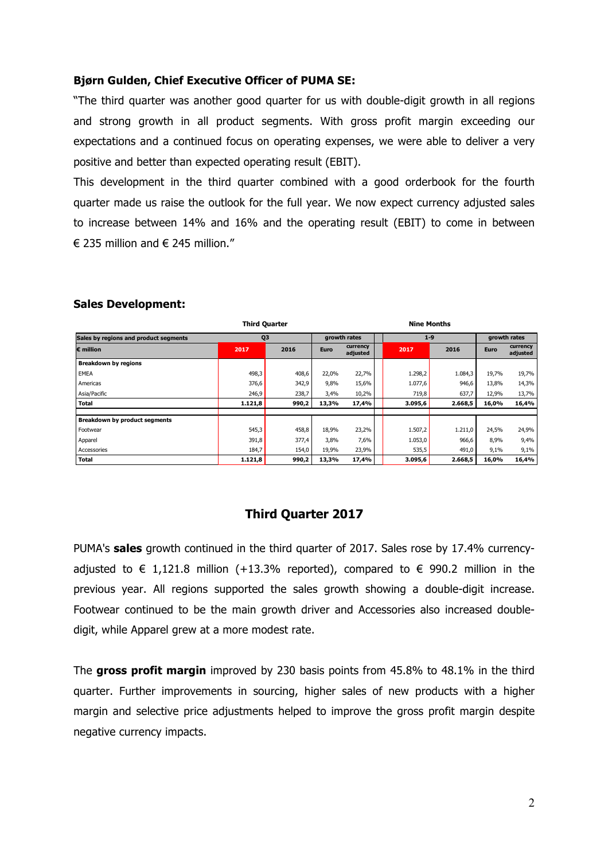#### **Bjørn Gulden, Chief Executive Officer of PUMA SE:**

"The third quarter was another good quarter for us with double-digit growth in all regions and strong growth in all product segments. With gross profit margin exceeding our expectations and a continued focus on operating expenses, we were able to deliver a very positive and better than expected operating result (EBIT).

This development in the third quarter combined with a good orderbook for the fourth quarter made us raise the outlook for the full year. We now expect currency adjusted sales to increase between 14% and 16% and the operating result (EBIT) to come in between € 235 million and  $∈$  245 million."

|                                       | <b>Third Quarter</b> |       |              | <b>Nine Months</b>   |  |         |         |              |                      |
|---------------------------------------|----------------------|-------|--------------|----------------------|--|---------|---------|--------------|----------------------|
| Sales by regions and product segments | Q <sub>3</sub>       |       | growth rates |                      |  | $1 - 9$ |         | growth rates |                      |
| $\epsilon$ million                    | 2017                 | 2016  | <b>Euro</b>  | currency<br>adjusted |  | 2017    | 2016    | Euro         | currency<br>adjusted |
| <b>Breakdown by regions</b>           |                      |       |              |                      |  |         |         |              |                      |
| <b>EMEA</b>                           | 498,3                | 408,6 | 22,0%        | 22,7%                |  | 1.298,2 | 1.084,3 | 19,7%        | 19,7%                |
| Americas                              | 376,6                | 342,9 | 9,8%         | 15,6%                |  | 1.077,6 | 946,6   | 13,8%        | 14,3%                |
| Asia/Pacific                          | 246,9                | 238,7 | 3,4%         | 10,2%                |  | 719,8   | 637,7   | 12,9%        | 13,7%                |
| <b>Total</b>                          | 1.121,8              | 990,2 | 13,3%        | 17,4%                |  | 3.095,6 | 2.668,5 | 16,0%        | 16,4%                |
|                                       |                      |       |              |                      |  |         |         |              |                      |
| <b>Breakdown by product segments</b>  |                      |       |              |                      |  |         |         |              |                      |
| Footwear                              | 545,3                | 458,8 | 18,9%        | 23,2%                |  | 1.507,2 | 1.211,0 | 24,5%        | 24,9%                |
| Apparel                               | 391,8                | 377,4 | 3,8%         | 7,6%                 |  | 1.053,0 | 966,6   | 8,9%         | 9,4%                 |
| Accessories                           | 184,7                | 154,0 | 19,9%        | 23,9%                |  | 535,5   | 491,0   | 9,1%         | 9,1%                 |
| <b>Total</b>                          | 1.121,8              | 990,2 | 13,3%        | 17,4%                |  | 3.095,6 | 2.668,5 | 16,0%        | 16,4%                |

#### **Sales Development:**

## **Third Quarter 2017**

PUMA's **sales** growth continued in the third quarter of 2017. Sales rose by 17.4% currencyadjusted to  $\epsilon$  1,121.8 million (+13.3% reported), compared to  $\epsilon$  990.2 million in the previous year. All regions supported the sales growth showing a double-digit increase. Footwear continued to be the main growth driver and Accessories also increased doubledigit, while Apparel grew at a more modest rate.

The **gross profit margin** improved by 230 basis points from 45.8% to 48.1% in the third quarter. Further improvements in sourcing, higher sales of new products with a higher margin and selective price adjustments helped to improve the gross profit margin despite negative currency impacts.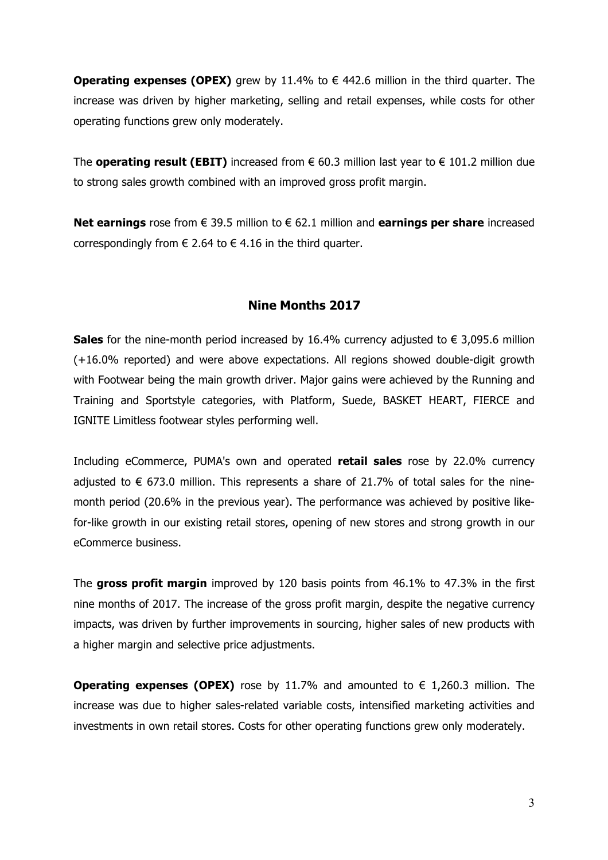**Operating expenses (OPEX)** grew by 11.4% to  $\epsilon$  442.6 million in the third quarter. The increase was driven by higher marketing, selling and retail expenses, while costs for other operating functions grew only moderately.

The **operating result (EBIT)** increased from  $€ 60.3$  million last year to  $€ 101.2$  million due to strong sales growth combined with an improved gross profit margin.

**Net earnings** rose from € 39.5 million to € 62.1 million and **earnings per share** increased correspondingly from  $\epsilon$  2.64 to  $\epsilon$  4.16 in the third quarter.

## **Nine Months 2017**

**Sales** for the nine-month period increased by 16.4% currency adjusted to  $€ 3,095.6$  million (+16.0% reported) and were above expectations. All regions showed double-digit growth with Footwear being the main growth driver. Major gains were achieved by the Running and Training and Sportstyle categories, with Platform, Suede, BASKET HEART, FIERCE and IGNITE Limitless footwear styles performing well.

Including eCommerce, PUMA's own and operated **retail sales** rose by 22.0% currency adjusted to  $\epsilon$  673.0 million. This represents a share of 21.7% of total sales for the ninemonth period (20.6% in the previous year). The performance was achieved by positive likefor-like growth in our existing retail stores, opening of new stores and strong growth in our eCommerce business.

The **gross profit margin** improved by 120 basis points from 46.1% to 47.3% in the first nine months of 2017. The increase of the gross profit margin, despite the negative currency impacts, was driven by further improvements in sourcing, higher sales of new products with a higher margin and selective price adjustments.

**Operating expenses (OPEX)** rose by 11.7% and amounted to  $\epsilon$  1,260.3 million. The increase was due to higher sales-related variable costs, intensified marketing activities and investments in own retail stores. Costs for other operating functions grew only moderately.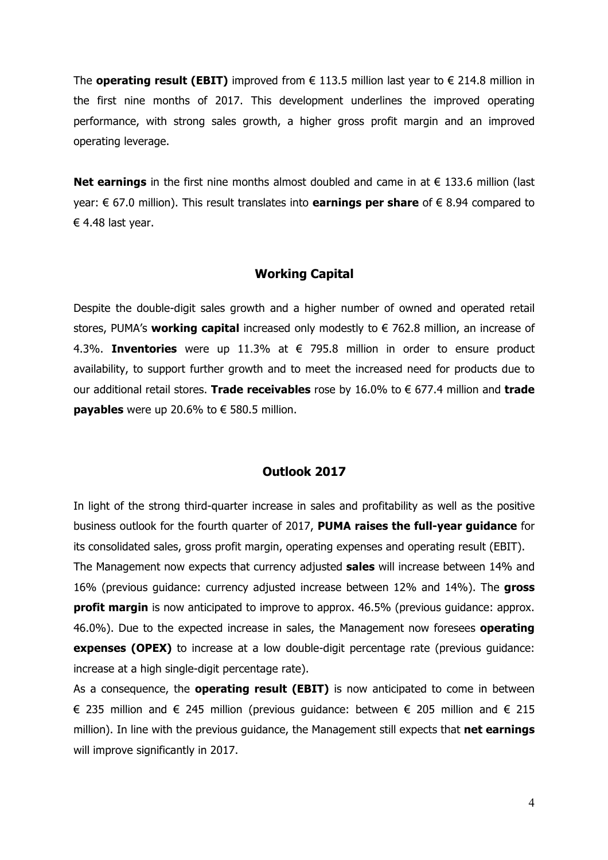The **operating result (EBIT)** improved from  $\epsilon$  113.5 million last year to  $\epsilon$  214.8 million in the first nine months of 2017. This development underlines the improved operating performance, with strong sales growth, a higher gross profit margin and an improved operating leverage.

**Net earnings** in the first nine months almost doubled and came in at € 133.6 million (last year: € 67.0 million). This result translates into **earnings per share** of € 8.94 compared to € 4.48 last year.

#### **Working Capital**

Despite the double-digit sales growth and a higher number of owned and operated retail stores, PUMA's **working capital** increased only modestly to € 762.8 million, an increase of 4.3%. **Inventories** were up 11.3% at € 795.8 million in order to ensure product availability, to support further growth and to meet the increased need for products due to our additional retail stores. **Trade receivables** rose by 16.0% to € 677.4 million and **trade payables** were up 20.6% to  $\epsilon$  580.5 million.

#### **Outlook 2017**

In light of the strong third-quarter increase in sales and profitability as well as the positive business outlook for the fourth quarter of 2017, **PUMA raises the full-year guidance** for its consolidated sales, gross profit margin, operating expenses and operating result (EBIT). The Management now expects that currency adjusted **sales** will increase between 14% and 16% (previous guidance: currency adjusted increase between 12% and 14%). The **gross profit margin** is now anticipated to improve to approx. 46.5% (previous guidance: approx. 46.0%). Due to the expected increase in sales, the Management now foresees **operating expenses (OPEX)** to increase at a low double-digit percentage rate (previous guidance: increase at a high single-digit percentage rate).

As a consequence, the **operating result (EBIT)** is now anticipated to come in between € 235 million and € 245 million (previous quidance: between € 205 million and € 215 million). In line with the previous guidance, the Management still expects that **net earnings** will improve significantly in 2017.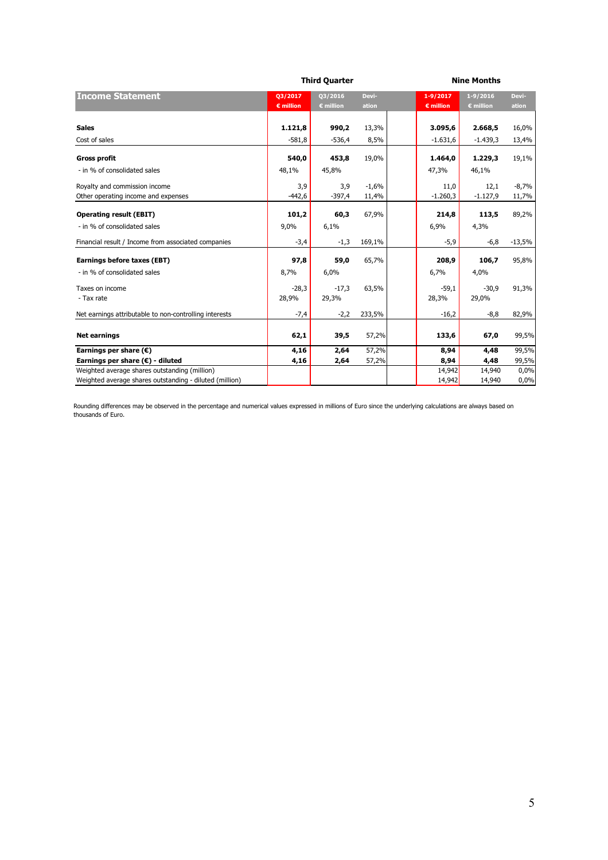|                                                         |                    | <b>Third Quarter</b> |         |                    | <b>Nine Months</b> |          |
|---------------------------------------------------------|--------------------|----------------------|---------|--------------------|--------------------|----------|
| <b>Income Statement</b>                                 | Q3/2017            | 03/2016              | Devi-   | $1 - 9/2017$       | $1 - 9/2016$       | Devi-    |
|                                                         | $\epsilon$ million | $\epsilon$ million   | ation   | $\epsilon$ million | $\epsilon$ million | ation    |
| <b>Sales</b>                                            | 1.121,8            | 990,2                | 13,3%   | 3.095,6            | 2.668,5            | 16,0%    |
| Cost of sales                                           | $-581,8$           | $-536,4$             |         |                    |                    |          |
|                                                         |                    |                      | 8,5%    | $-1.631,6$         | $-1.439,3$         | 13,4%    |
| <b>Gross profit</b>                                     | 540,0              | 453,8                | 19,0%   | 1.464,0            | 1.229,3            | 19,1%    |
| - in % of consolidated sales                            | 48,1%              | 45,8%                |         | 47,3%              | 46,1%              |          |
| Royalty and commission income                           | 3,9                | 3,9                  | $-1,6%$ | 11,0               | 12,1               | $-8,7%$  |
| Other operating income and expenses                     | $-442,6$           | $-397,4$             | 11,4%   | $-1.260,3$         | $-1.127,9$         | 11,7%    |
| <b>Operating result (EBIT)</b>                          | 101,2              | 60,3                 | 67,9%   | 214,8              | 113,5              | 89,2%    |
| - in % of consolidated sales                            | 9,0%               | 6,1%                 |         | 6,9%               | 4,3%               |          |
| Financial result / Income from associated companies     | $-3,4$             | $-1,3$               | 169,1%  | $-5,9$             | $-6,8$             | $-13,5%$ |
| Earnings before taxes (EBT)                             | 97,8               | 59,0                 | 65,7%   | 208,9              | 106,7              | 95,8%    |
| - in % of consolidated sales                            | 8,7%               | 6,0%                 |         | 6,7%               | 4,0%               |          |
| Taxes on income                                         | $-28,3$            | $-17,3$              | 63,5%   | $-59,1$            | $-30,9$            | 91,3%    |
| - Tax rate                                              | 28,9%              | 29,3%                |         | 28,3%              | 29,0%              |          |
| Net earnings attributable to non-controlling interests  | $-7,4$             | $-2,2$               | 233,5%  | $-16,2$            | $-8,8$             | 82,9%    |
| <b>Net earnings</b>                                     | 62,1               | 39,5                 | 57,2%   | 133,6              | 67,0               | 99,5%    |
| Earnings per share $(\epsilon)$                         | 4,16               | 2,64                 | 57,2%   | 8,94               | 4,48               | 99,5%    |
| Earnings per share (€) - diluted                        | 4,16               | 2,64                 | 57,2%   | 8,94               | 4,48               | 99,5%    |
| Weighted average shares outstanding (million)           |                    |                      |         | 14,942             | 14,940             | 0,0%     |
| Weighted average shares outstanding - diluted (million) |                    |                      |         | 14,942             | 14,940             | 0,0%     |

Rounding differences may be observed in the percentage and numerical values expressed in millions of Euro since the underlying calculations are always based on thousands of Euro.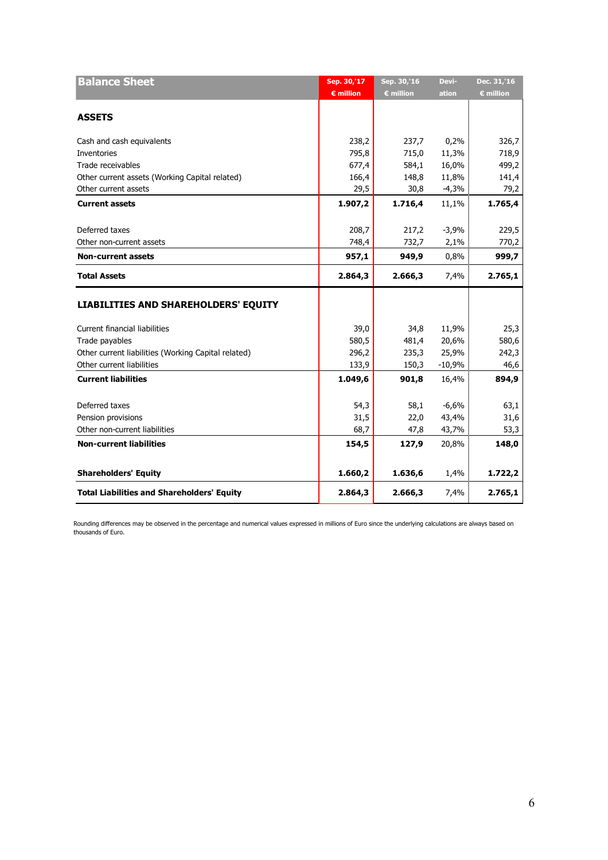| <b>Balance Sheet</b>                                | Sep. 30,'17        | Sep. 30,'16      | Devi-    | Dec. 31,'16        |
|-----------------------------------------------------|--------------------|------------------|----------|--------------------|
|                                                     | $\epsilon$ million | <b>€ million</b> | ation    | $\epsilon$ million |
|                                                     |                    |                  |          |                    |
| <b>ASSETS</b>                                       |                    |                  |          |                    |
| Cash and cash equivalents                           | 238,2              | 237,7            | 0,2%     | 326,7              |
| Inventories                                         | 795,8              | 715,0            | 11,3%    | 718,9              |
| Trade receivables                                   | 677,4              | 584,1            | 16,0%    | 499,2              |
| Other current assets (Working Capital related)      | 166,4              | 148,8            | 11,8%    | 141,4              |
| Other current assets                                | 29,5               | 30,8             | $-4,3%$  | 79,2               |
| <b>Current assets</b>                               | 1.907,2            | 1.716,4          | 11,1%    | 1.765,4            |
| Deferred taxes                                      | 208,7              | 217,2            | $-3,9%$  | 229,5              |
| Other non-current assets                            | 748,4              | 732,7            | 2,1%     | 770,2              |
| <b>Non-current assets</b>                           | 957,1              | 949,9            | 0,8%     | 999,7              |
|                                                     |                    |                  |          |                    |
| <b>Total Assets</b>                                 | 2.864,3            | 2.666,3          | 7,4%     | 2.765,1            |
| <b>LIABILITIES AND SHAREHOLDERS' EQUITY</b>         |                    |                  |          |                    |
| <b>Current financial liabilities</b>                | 39,0               | 34,8             | 11,9%    | 25,3               |
| Trade payables                                      | 580,5              | 481,4            | 20,6%    | 580,6              |
| Other current liabilities (Working Capital related) | 296,2              | 235,3            | 25,9%    | 242,3              |
| Other current liabilities                           | 133,9              | 150,3            | $-10,9%$ | 46,6               |
| <b>Current liabilities</b>                          | 1.049,6            | 901,8            | 16,4%    | 894,9              |
|                                                     |                    |                  |          |                    |
| Deferred taxes                                      | 54,3               | 58,1             | $-6,6%$  | 63,1               |
| Pension provisions                                  | 31,5               | 22,0             | 43,4%    | 31,6               |
| Other non-current liabilities                       | 68,7               | 47,8             | 43,7%    | 53,3               |
| <b>Non-current liabilities</b>                      | 154,5              | 127,9            | 20,8%    | 148,0              |
|                                                     |                    |                  |          |                    |
| <b>Shareholders' Equity</b>                         | 1.660,2            | 1.636,6          | 1,4%     | 1.722,2            |
| <b>Total Liabilities and Shareholders' Equity</b>   | 2.864,3            | 2.666,3          | 7,4%     | 2.765,1            |

Rounding differences may be observed in the percentage and numerical values expressed in millions of Euro since the underlying calculations are always based on thousands of Euro.